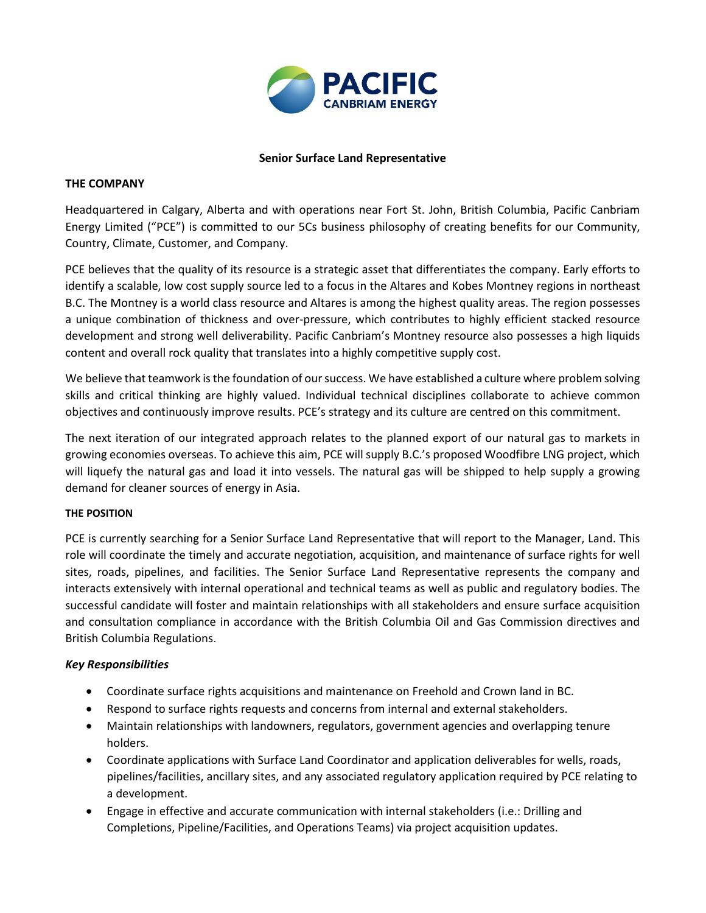

#### **Senior Surface Land Representative**

#### **THE COMPANY**

Headquartered in Calgary, Alberta and with operations near Fort St. John, British Columbia, Pacific Canbriam Energy Limited ("PCE") is committed to our 5Cs business philosophy of creating benefits for our Community, Country, Climate, Customer, and Company.

PCE believes that the quality of its resource is a strategic asset that differentiates the company. Early efforts to identify a scalable, low cost supply source led to a focus in the Altares and Kobes Montney regions in northeast B.C. The Montney is a world class resource and Altares is among the highest quality areas. The region possesses a unique combination of thickness and over-pressure, which contributes to highly efficient stacked resource development and strong well deliverability. Pacific Canbriam's Montney resource also possesses a high liquids content and overall rock quality that translates into a highly competitive supply cost.

We believe that teamwork is the foundation of our success. We have established a culture where problem solving skills and critical thinking are highly valued. Individual technical disciplines collaborate to achieve common objectives and continuously improve results. PCE's strategy and its culture are centred on this commitment.

The next iteration of our integrated approach relates to the planned export of our natural gas to markets in growing economies overseas. To achieve this aim, PCE will supply B.C.'s proposed Woodfibre LNG project, which will liquefy the natural gas and load it into vessels. The natural gas will be shipped to help supply a growing demand for cleaner sources of energy in Asia.

#### **THE POSITION**

PCE is currently searching for a Senior Surface Land Representative that will report to the Manager, Land. This role will coordinate the timely and accurate negotiation, acquisition, and maintenance of surface rights for well sites, roads, pipelines, and facilities. The Senior Surface Land Representative represents the company and interacts extensively with internal operational and technical teams as well as public and regulatory bodies. The successful candidate will foster and maintain relationships with all stakeholders and ensure surface acquisition and consultation compliance in accordance with the British Columbia Oil and Gas Commission directives and British Columbia Regulations.

# *Key Responsibilities*

- Coordinate surface rights acquisitions and maintenance on Freehold and Crown land in BC.
- Respond to surface rights requests and concerns from internal and external stakeholders.
- Maintain relationships with landowners, regulators, government agencies and overlapping tenure holders.
- Coordinate applications with Surface Land Coordinator and application deliverables for wells, roads, pipelines/facilities, ancillary sites, and any associated regulatory application required by PCE relating to a development.
- Engage in effective and accurate communication with internal stakeholders (i.e.: Drilling and Completions, Pipeline/Facilities, and Operations Teams) via project acquisition updates.